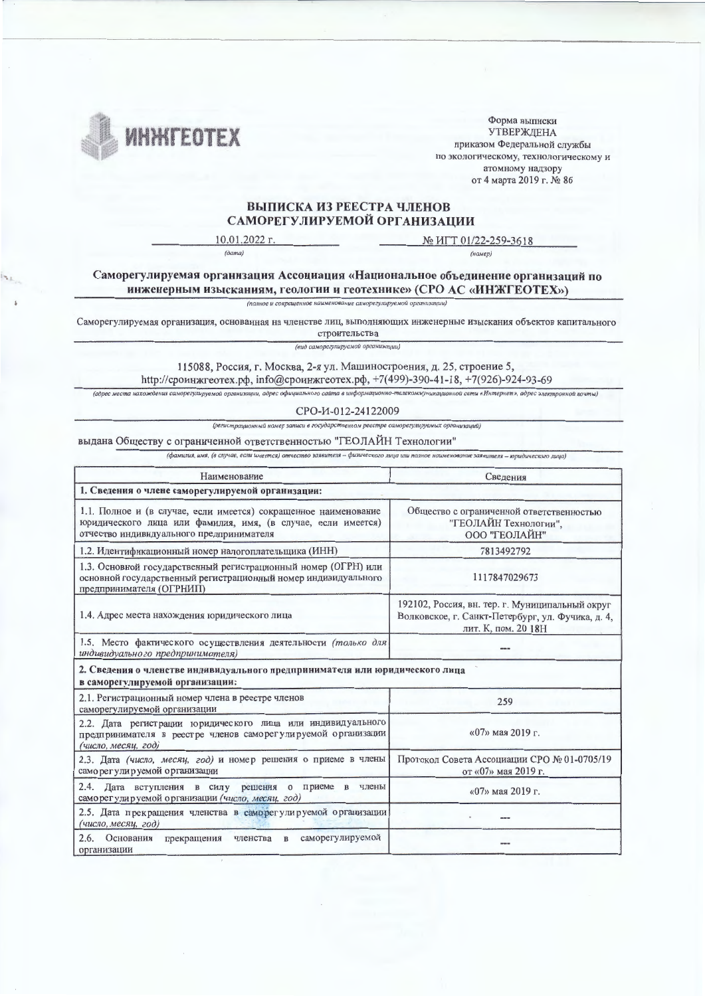

Форма выписки **УТВЕРЖДЕНА** приказом Федеральной службы по экологическому, технологическому и атомному надзору от 4 марта 2019 г. № 86

## ВЫПИСКА ИЗ РЕЕСТРА ЧЛЕНОВ САМОРЕГУЛИРУЕМОЙ ОРГАНИЗАЦИИ

10.01.2022 r.  $(\partial a$ ma)

№ ИГТ 01/22-259-3618  $(hawep)$ 

Саморегулируемая организация Ассоциация «Национальное объединение организаций по инженерным изысканиям, геологии и геотехнике» (СРО АС «ИНЖГЕОТЕХ»)

.<br>10e и сокращенное наименование саморегулируемой организаци

Саморегулируемая организация, основанная на членстве лиц, выполняющих инженерные изыскания объектов капитального строительства

(вид саморегулируемой организации)

115088, Россия, г. Москва, 2-я ул. Машиностроения, д. 25, строение 5, http://сроинжгеотех.pф, info@сроинжгеотех.pф, +7(499)-390-41-18, +7(926)-924-93-69

(адрес места нахождения саморегулируемой организации, адрес официального сайта в информационно-телекоммуникационной сети «Интернет», адрес электронной почты)

## CPO-H-012-24122009

(регистрационный номер записи в государственном реестре саморегулируемых организаций)

выдана Обществу с ограниченной ответственностью "ГЕОЛАЙН Технологии"

.<br>(фамилия, имя, (в случае, если имеется) отчество заявителя - физического лица или полное наименование заявителя - юридического лица)

| Наименование                                                                                                                                                                | Сведения                                                                                                                    |  |  |  |  |  |
|-----------------------------------------------------------------------------------------------------------------------------------------------------------------------------|-----------------------------------------------------------------------------------------------------------------------------|--|--|--|--|--|
| 1. Сведения о члене саморегулируемой организации:                                                                                                                           |                                                                                                                             |  |  |  |  |  |
| 1.1. Полное и (в случае, если имеется) сокращенное наименование<br>юридического лица или фамилия, имя, (в случае, если имеется)<br>отчество индивидуального предпринимателя | Общество с ограниченной ответственностью<br>"ГЕОЛАЙН Технологии",<br>ООО "ГЕОЛАЙН"                                          |  |  |  |  |  |
| 1.2. Идентификационный номер налогоплательщика (ИНН)                                                                                                                        | 7813492792                                                                                                                  |  |  |  |  |  |
| 1.3. Основной государственный регистрационный номер (ОГРН) или<br>основной государственный регистрационный номер индивидуального<br>предпринимателя (ОГРНИП)                | 1117847029673                                                                                                               |  |  |  |  |  |
| 1.4. Адрес места нахождения юридического лица                                                                                                                               | 192102, Россия, вн. тер. г. Муниципальный округ<br>Волковское, г. Санкт-Петербург, ул. Фучика, д. 4,<br>лит. К, пом. 20 18Н |  |  |  |  |  |
| 1.5. Место фактического осуществления деятельности (только для<br>индивидуально го предпринимателя)                                                                         |                                                                                                                             |  |  |  |  |  |
| 2. Сведения о членстве индивидуального предпринимателя или юридического лица<br>в саморегулируемой организации:                                                             |                                                                                                                             |  |  |  |  |  |
| 2.1. Регистрационный номер члена в реестре членов<br>саморегулируемой организации                                                                                           | 259                                                                                                                         |  |  |  |  |  |
| 2.2. Дата регистрации юридического лица или индивидуального<br>предпринимателя в реестре членов саморегулируемой организации<br>(число, месяц, год)                         | «07» мая 2019 г.                                                                                                            |  |  |  |  |  |
| 2.3. Дата (число, месяц, год) и номер решения о приеме в члены<br>саморегулируемой организации                                                                              | Протокол Совета Ассоциации СРО № 01-0705/19<br>от «07» мая 2019 г.                                                          |  |  |  |  |  |
| 2.4. Дата вступления в силу решения о приеме<br>$\mathbf{B}$<br>члены<br>саморегулируемой организации (число, месяц, год)                                                   | «07» мая 2019 г.                                                                                                            |  |  |  |  |  |
| 2.5. Дата прекращения членства в саморегулируемой организации<br>(число, месяц, год)                                                                                        |                                                                                                                             |  |  |  |  |  |
| 2.6.<br>Основания<br>саморегулируемой<br>$\mathbf{B}$<br>прекращения<br>членства<br>организации                                                                             |                                                                                                                             |  |  |  |  |  |